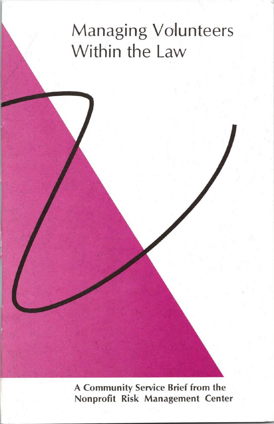# Managing Volunteers Within the Law

**A Community Service Brief from the Nonprofit Risk Management Center**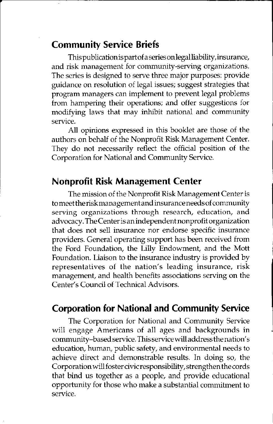#### **Community Service Briefs**

This publicationis part of a series on legal liability, insurance, and risk management for community-serving organizations. The series is designed to serve three major purposes: provide guidance on resolution of legal issues; suggest strategies that program managers can implement to prevent legal problems from hampering their operations; and offer suggestions for modifying laws that may inhibit national and community service.

All opinions expressed in this booklet are those of the authors on behalf of the Nonprofit Risk Management Center. They do not necessarily reflect the official position of the Corporation for National and Community Service.

#### **Nonprofit Risk Management Center**

The mission of the Nonprofit Risk Management Center is tomeettheriskmanagementand insurance needs of community serving organizations through research, education, and advocacy. The Center is an independent nonprofit organization that does not sell insurance nor endorse specific insurance providers. General operating support has been received from the Ford Foundation, the Lilly Endowment, and the Mott Foundation. Liaison to the insurance industry is provided by representatives of the nation's leading insurance, risk management, and health benefits associations serving on the Center's Council of Technical Advisors.

#### **Corporation for National and Community Service**

The Corporation for National and Community Service will engage Americans of all ages and backgrounds in community-based service. This service will address the nation's education, human, public safety, and environmental needs to achieve direct and demonstrable results. In doing so, the Corporation will foster civic responsibility, strengthen the cords that bind us together as a people, and provide educational opportunity for those who make a substantial commitment to service.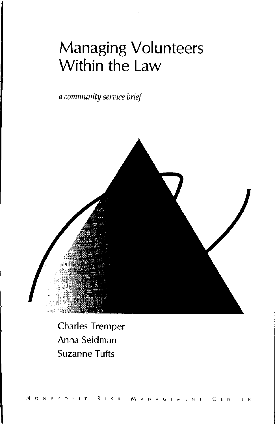## **Managing Volunteers Within the Law**

*a community seroice brief* 



Charles Tremper Anna Seidman Suzanne Tufts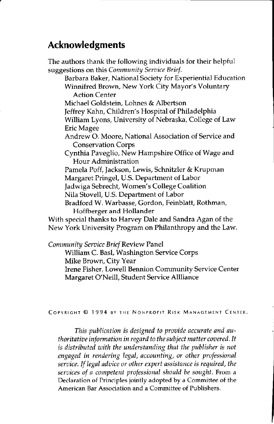### **Acknowledgments**

The authors thank the following individuals for their helpful suggestions on this *Community Service Brief.*  Barbara Baker, National Society for Experiential Education Winnifred Brown, New York City Mayor's Voluntary Action Center Michael Goldstein, Lohnes & Albertson Jeffrey Kahn, Children's Hospital of Philadelphia William Lyons, University of Nebraska, College of Law Eric Magee Andrew 0. Moore, National Association of Service and Conservation Corps Cynthia Paveglio, New Hampshire Office of Wage and Hour Administration Pamela Poff, Jackson, Lewis, Schnitzler & Krupman Margaret Pringel, U.S. Department of Labor Jadwiga Sebrecht, Women's College Coalition Nila Stovell, U.S. Department of Labor Bradford W. Warbasse, Gordon, Feinblatt, Rothman, Hoffberger and Hollander With special thanks to Harvey Dale and Sandra Agan of the New York University Program on Philanthropy and the Law.

*Community Service Brief* Review Panel

William C. Bas!, Washington Service Corps Mike Brown, City Year Irene Fisher, Lowell Bennion Community Service Center Margaret O'Neill, Student Service Allliance

#### **COPYRIGHT© 1994 BY THE NONPROFIT RISK MANAGEMENT CENTER.**

*This publication is designed to provide accurate and authoritative information in regard to the subject matter covered. It*  is *distributed with the understanding that the publisher* is *not engaged in rendering legal, accounting, or other professional service. If legal advice or other expert assistance is required, the services of a competent professional should be sought.* From a **Declaration of Principles jointly adopted by a Committee of the American Bar Association and a Committee of Publishers.**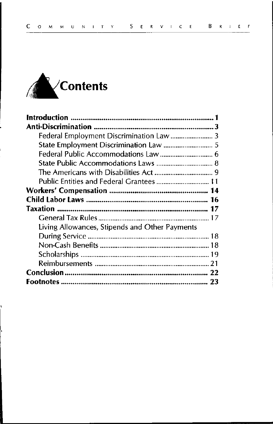

i.

| Public Entities and Federal Grantees  11       |
|------------------------------------------------|
|                                                |
|                                                |
|                                                |
|                                                |
| Living Allowances, Stipends and Other Payments |
|                                                |
|                                                |
|                                                |
|                                                |
|                                                |
|                                                |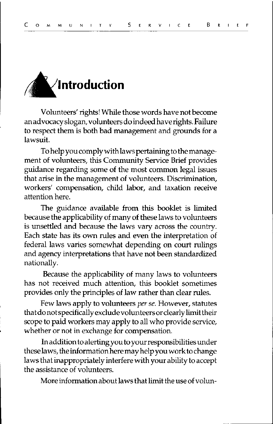

Volunteers' rights! While those words have not become an advocacy slogan, volunteers do indeed have rights. Failure to respect them is both bad management and grounds for a lawsuit.

To help you comply with laws pertaining to the management of volunteers, this Community Service Brief provides guidance regarding some of the most common legal issues that arise in the management of volunteers. Discrimination, workers' compensation, child labor, and taxation receive attention here.

The guidance available from this booklet is limited because the applicability of many of these laws to volunteers is unsettled and because the laws vary across the country. Each state has its own rules and even the interpretation of federal laws varies somewhat depending on court rulings and agency interpretations that have not been standardized nationally.

Because the applicability of many laws to volunteers has not received much attention, this booklet sometimes provides only the principles of law rather than clear rules.

Few laws apply to volunteers *per se.* However, statutes thatdonotspecificallyexcludevolunteersorclearlylirnittheir scope to paid workers may apply to all who provide service, whether or not in exchange for compensation.

In addition to alerting you to your responsibilities under these laws, the information here may help you work to change laws that inappropriately interfere with your ability to accept the assistance of volunteers.

More information about laws that limit the use of volun-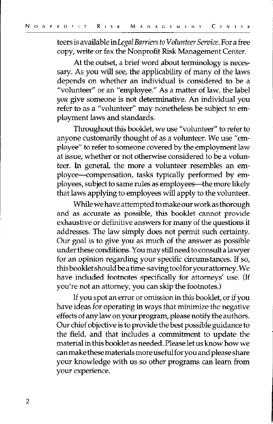teers is available in *Legal Barriers to Volunteer Service.* For a free copy, write or fax the Nonprofit Risk Management Center.

At the outset, a brief word about terminology is necessary. As you will see, the applicability of many of the laws depends on whether an individual is considered to be a "volunteer" or an "employee." As a matter of law, the label *you* give someone is not determinative. An individual you refer to as a "volunteer" may nonetheless be subject to employment laws and standards.

Throughout this booklet, we use "volunteer" to refer to anyone customarily thought of as a volunteer. We use "employee" to refer to someone covered by the employment law at issue, whether or not otherwise considered to be a volunteer. In general, the more a volunteer resembles an employee-compensation, tasks typically performed by employees, subject to same rules as employees—the more likely that laws applying to employees will apply to the volunteer.

While we have attempted to make our work as thorough and as accurate as possible, this booklet cannot provide exhaustive or definitive answers for many of the questions it addresses. The law simply does not permit such certainty. Our goal is to give you as much of the answer as possible under these conditions. You may still need to consult a lawyer for an opinion regarding your specific circumstances. If so, this booklet should be a time-saving tool for your attorney. We have included footnotes specifically for attorneys' use. (If you're not an attorney, you can skip the footnotes.)

If you spot an error or omission in this booklet, or if you have ideas for operating in ways that minimize the negative effects of any law on your program, please notify the authors. Our chief objective is to provide the best possible guidance to the field, and that includes a commitment to update the material in this booklet as needed. Please let us know how we can make these materials more useful for you and please share your knowledge with us so other programs can learn from your experience.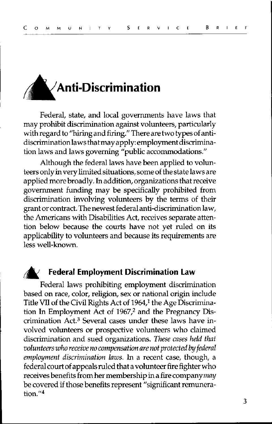

Federal, state, and local governments have laws that may prohibit discrimination against volunteers, particularly with regard to "hiring and firing." There are two types of antidiscriminationlaws thatmay apply: employmentdiscrimination laws and laws governing "public accommodations."

Although the federal laws have been applied to volunteers only in very limited situations, some of the state laws are applied more broadly. In addition, organizations that receive government funding may be specifically prohibited from discrimination involving volunteers by the terms of their grant or contract. The newest federal anti-discrimination law, the Americans with Disabilities Act, receives separate attention below because the courts have not yet ruled on its applicability to volunteers and because its requirements are less well-known.

#### *i;6'.* **Federal Employment Discrimination Law**

Federal laws prohibiting employment discrimination based on race, color, religion, sex or national origin include Title VII of the Civil Rights Act of 1964,<sup>1</sup> the Age Discrimination In Employment Act of 1967,<sup>2</sup> and the Pregnancy Discrimination Act.3 Several cases under these laws have involved volunteers or prospective volunteers who claimed discrimination and sued organizations. *These cases held that volunteers who receive no compensation are not protected by federal employment discrimination laws.* In a recent case, though, a federal court of appeals ruled that a volunteer fire fighter who receives benefits from her membership in a fire company *may*  be covered if those benefits represent "significant remunera**tion."4**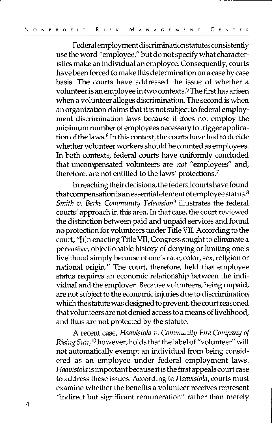Federalemploymentdiscriminationstatutesconsistently use the word "employee," but do not specify what characteristics make an individual an employee. Consequently, courts have been forced to make this determination on a case by case basis. The courts have addressed the issue of whether a volunteer is an employee in two contexts. <sup>5</sup>The first has arisen when a volunteer alleges discrimination. The second is when an organization claims that it is not subject to federal employment discrimination laws because it does not employ the minimum number of employees necessary to trigger application of the laws.<sup>6</sup> In this context, the courts have had to decide whether volunteer workers should be counted as employees. In both contexts, federal courts have uniformly concluded that uncompensated volunteers are *not* "employees" and, therefore, are not entitled to the laws' protections.<sup>7</sup>

In reaching their decisions, the federal courts have found that compensation is an essential element of employee status. <sup>8</sup> *Smith v. Berks Community Television<sup>9</sup>* illustrates the federal courts' approach in this area. In that case, the court reviewed the distinction between paid and unpaid services and found no protection for volunteers under Title VIL According to the court, "[i]n enacting Title VII, Congress sought to eliminate a pervasive, objectionable history of denying or limiting one's livelihood simply because of one's race, color, sex, religion or national origin." The court, therefore, held that employee status requires an economic relationship between the individual and the employer. Because volunteers, being unpaid, are not subject to the economic injuries due to discrimination which the statute was designed to prevent, the court reasoned that volunteers are not denied access to a means of livelihood, and thus are not protected by the statute.

A recent case, *Haavistola v. Community Fire Company of Rising Sun,* 10 however, holds that the label of "volunteer" will not automatically exempt an individual from being considered as an employee under federal employment laws. *Haavistola* is important because it is the first appeals court case to address these issues. According to *Haavistola,* courts must examine whether the benefits a volunteer receives represent "indirect but significant remuneration" rather than merely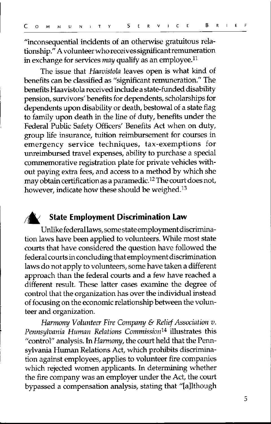"inconsequential incidents of an otherwise gratuitous relationship." A volunteer who receives significant remuneration in exchange for services *may* qualify as an employee. <sup>11</sup>

The issue that *Haavistola* leaves open is what kind of benefits can be classified as "significant remuneration." The benefits Haavistola received include a state-funded disability pension, survivors' benefits for dependents, scholarships for dependents upon disability or death, bestowal of a state flag to family upon death in the line of duty, benefits under the Federal Public Safety Officers' Benefits Act when on duty, group life insurance, tuition reimbursement for courses in emergency service techniques, tax-exemptions for unreimbursed travel expenses, ability to purchase a special commemorative registration plate for private vehicles without paying extra fees, and access to a method by which she may obtain certification as a paramedic. 12 The court does not, however, indicate how these should be weighed.<sup>13</sup>

#### **State Employment Discrimination Law**

Unlike federallaws, some state employment discrimination laws have been applied to volunteers. While most state courts that have considered the question have followed the federal courts in concluding that employment discrimination laws do not apply to volunteers, some have taken a different approach than the federal courts and a few have reached a different result. These latter cases examine the degree of control that the organization has over the individual instead of focusing on the economic relationship between the volunteer and organization.

*Harmony Volunteer Fire Company* & *Relief Association v.*  Pennsylvania Human Relations Commission<sup>14</sup> illustrates this "control" analysis. In *Harmony,* the court held that the Pennsylvania Human Relations Act, which prohibits discrimination against employees, applies to volunteer fire companies which rejected women applicants. In determining whether the fire company was an employer under the Act, the court bypassed a compensation analysis, stating that "[a]lthough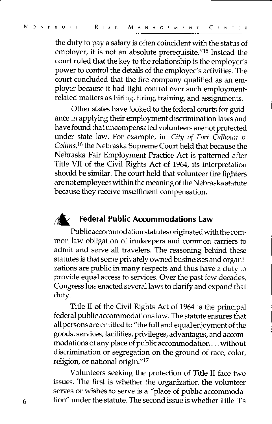the duty to pay a salary is often coincident with the status of employer, it is not an absolute prerequisite." 15 Instead the court ruled that the key to the relationship is the employer's power to control the details of the employee's activities. The court concluded that the fire company qualified as an employer because it had tight control over such employmentrelated matters as hiring, firing, training, and assignments.

Other states have looked to the federal courts for guidance in applying their employment discrimination laws and have found that uncompensated volunteers are not protected under state law. For example, in *City of Fort Calhoun v. Collins,16* the Nebraska Supreme Court held that because the Nebraska Fair Employment Practice Act is patterned after Title VII of the Civil Rights Act of 1964, its interpretation should be similar. The court held that volunteer fire fighters are not employees within the meaning of the Nebraska statute because they receive insufficient compensation.

#### **Federal Public Accommodations Law**

Public accommodation statutes originated with the common law obligation of innkeepers and common carriers to admit and serve all travelers. The reasoning behind these statutes is that some privately owned businesses and organizations are public in many respects and thus have a duty to provide equal access to services. Over the past few decades, Congress has enacted several laws to clarify and expand that duty.

Title II of the Civil Rights Act of 1964 is the principal federal public accommodations law. The statute ensures that all persons are entitled to "the full and equal enjoyment of the goods, services, facilities, privileges, advantages, and accommodations of any place of public accommodation ... without discrimination or segregation on the ground of race, color, religion, or national origin."17

Volunteers seeking the protection of Title II face two issues. The first is whether the organization the volunteer serves or wishes to serve is a "place of public accommoda- $6$  tion" under the statute. The second issue is whether Title II's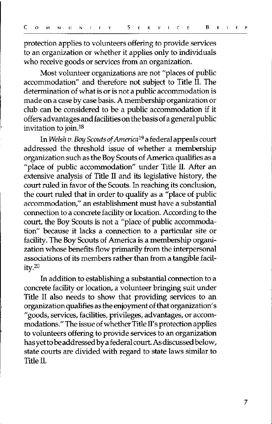protection applies to volunteers offering to provide services to an organization or whether it applies only to individuals who receive goods or services from an organization.

Most volunteer organizations are not "places of public accommodation" and therefore not subject to Title II. The determination of what is or is not a public accommodation is made on a case by case basis. A membership organization or club can be considered to be a public accommodation if it offers advantages and facilities on the basis of a general public invitation to join.<sup>18</sup>

In *Welsh v.* Boy *Scouts of America* 19 a federal appeals court addressed the threshold issue of whether a membership organization such as the Boy Scouts of America qualifies as a "place of public accommodation" under Title II. After an extensive analysis of Title II and its legislative history, the court ruled in favor of the Scouts. In reaching its conclusion, the court ruled that in order to qualify as a "place of public accommodation," an establishment must have a substantial connection to a concrete facility or location. According to the court, the Boy Scouts is not a "place of public accommodation" because it lacks a connection to a particular site or facility. The Boy Scouts of America is a membership organization whose benefits flow primarily from the interpersonal associations of its members rather than from a tangible facil  $ity<sub>20</sub>$ 

In addition to establishing a substantial connection to a concrete facility or location, a volunteer bringing suit under Title II also needs to show that providing services to an organization qualifies as the enjoyment of that organization's "goods, services, facilities, privileges, advantages, or accommodations." The issue of whether Title II's protection applies to volunteers offering to provide services to an organization has yet to be addressed by a federal court. As discussed below, state courts are divided with regard to state laws similar to Title IL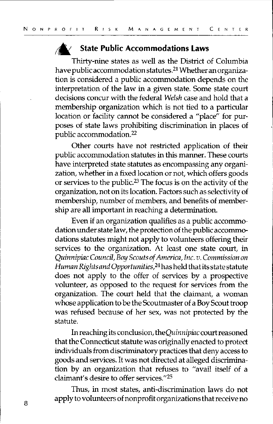#### *rA'.* **State Public Accommodations Laws**

Thirty-nine states as well as the District of Columbia have public accommodation statutes. 21 Whether an organization is considered a public accommodation depends on the interpretation of the law in a given state. Some state court decisions concur with the federal *Welsh* case and hold that a membership organization which is not tied to a particular location or facility cannot be considered a "place" for purposes of state laws prohibiting discrimination in places of public accommodation.22

Other courts have not restricted application of their public accommodation statutes in this manner. These courts have interpreted state statutes as encompassing any organization, whether in a fixed location or not, which offers goods or services to the public.23 The focus is on the activity of the organization, not on its location. Factors such as selectivity of membership, number of members, and benefits of membership are all important in reaching a determination.

Even if an organization qualifies as a public accommodation under state law, the protection of the public accommodations statutes might not apply to volunteers offering their services to the organization. At least one state court, in *QuinnipiacCouncil,* Boy *Scouts of America,Inc. v. Commission on Human Rights and Opportunities,24* has held thatits state statute does not apply to the offer of services by a prospective volunteer, as opposed to the request for services from the organization. The court held that the claimant, a woman whose application to be the Scoutmaster of a Boy Scout troop was refused because of her sex, was not protected by the statute.

In reaching its conclusion, *theQuinnipiac* court reasoned that the Connecticut statute was originally enacted to protect individuals from discriminatory practices that deny access to goods and services. It was not directed at alleged discrimination by an organization that refuses to "avail itself of a claimant's desire to offer services."25

Thus, in most states, anti-discrimination laws do not apply to volunteers of nonprofit organizations that receive no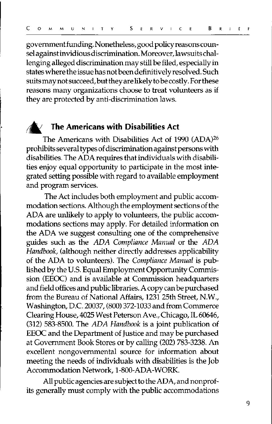government funding. Nonetheless, good policy reasons counsel against invidious discrimination. Moreover, lawsuits challenging alleged discrimination may still be filed, especially in states where the issue has not been definitively resolved. Such suits may not succeed, but they are likely to be costly. For these reasons many organizations choose to treat volunteers as if they are protected by anti-discrimination laws.

#### **;6'. The Americans with Disabilities Act**

The Americans with Disabilities Act of 1990 (ADA)26 prohibits several types of discrimination against persons with disabilities. The ADA requires that individuals with disabilities enjoy equal opportunity to participate in the most integrated setting possible with regard to available employment and program services.

The Act includes both employment and public accommodation sections. Although the employment sections of the ADA are unlikely to apply to volunteers, the public accommodations sections may apply. For detailed information on the ADA we suggest consulting one of the comprehensive guides such as the *ADA Compliance Manual* or the *ADA Handbook,* (although neither directly addresses applicability of the ADA to volunteers). The *Compliance Manual* is published by the U.S. Equal Employment Opportunity Commission (EEOC) and is available at Commission headquarters and field offices and public libraries. A copy can be purchased from the Bureau of National Affairs, 1231 25th Street, N.W., Washington, D.C. 20037, (800) 372-1033 and from Commerce Clearing House, 4025 West Peterson Ave., Chicago, IL 60646, (312) 583-8500. The *ADA Handbook* is a joint publication of EEOC and the Department of Justice and may be purchased at Government Book Stores or by calling (202) 783-3238. An excellent nongovernmental source for information about meeting the needs of individuals with disabilities is the Job Accommodation Network, 1-800-ADA-WORK.

All public agencies are subject to the ADA, and nonprofits generally must comply with the public accommodations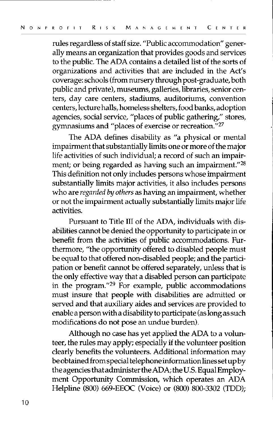rules regardless of staff size. "Public accommodation" generally means an organization that provides goods and services to the public. The ADA contains a detailed list of the sorts of organizations and activities that are included in the Act's coverage: schools (from nursery through post-graduate, both public and private), museums, galleries, libraries, senior centers, day care centers, stadiums, auditoriums, convention centers, lecture halls, homeless shelters, food banks, adoption agencies, social service, "places of public gathering," stores, gymnasiums and "places of exercise or recreation." <sup>27</sup>

The ADA defines disability as "a physical or mental impairment that substantially limits one or more of the major life activities of such individual; a record of such an impairment; or being regarded as having such an impairment."<sup>28</sup> Tbis definition not only includes persons whose impairment substantially limits major activities, it also includes persons who are *regarded by others* as having an impairment, whether or not the impairment actually substantially limits major life activities.

Pursuant to Title III of the ADA, individuals with disabilities cannot be denied the opportunity to participate in or benefit from the activities of public accommodations. Furthermore, "the opportunity offered to disabled people must be equal to that offered non-disabled people; and the participation or benefit cannot be offered separately, unless that is the only effective way that a disabled person can participate in the program."<sup>29</sup> For example, public accommodations must insure that people with disabilities are admitted or served and that auxiliary aides and services are provided to enable a person with a disability to participate (as long as such modifications do not pose an undue burden).

Although no case has yet applied the ADA to a volunteer, the rules may apply; especially if the volunteer position clearly benefits the volunteers. Additional information may be obtained from special telephone information lines set up by the agencies that administer the ADA; the U.S. Equal Employment Opportunity Commission, which operates an ADA Helpline (800) 669-EEOC (Voice) or (800) 800-3302 (TDD);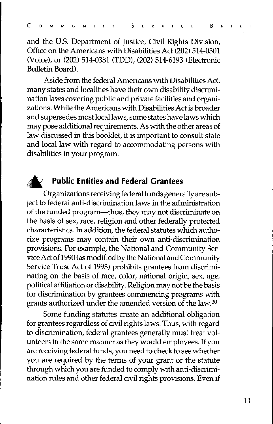and the U.S. Department of Justice, Civil Rights Division, Office on the Americans with Disabilities Act (202) 514-0301 (Voice), or (202) 514-0381 (TDD), (202) 514-6193 (Electronic Bulletin Board).

Aside from the federal Americans with Disabilities Act, many states and localities have their own disability discrimination laws covering public and private facilities and organizations. While the Americans with Disabilities Act is broader and supersedes most local laws, some states have laws which may pose additional requirements. As with the other areas of law discussed in this booklet, it is important to consult state and local law with regard to accommodating persons with disabilities in your program.



#### **;;6' Public Entities and Federal Grantees**

Organizations receiving federal funds generally are subject to federal anti-discrimination laws in the administration of the funded program-thus, they may not discriminate on the basis of sex, race, religion and other federally protected characteristics. In addition, the federal statutes which authorize programs may contain their own anti-discrimination provisions. For example, the National and Community Service Act of 1990 (as modified bythe National and Community Service Trust Act of 1993) prohibits grantees from discriminating on the basis of race, color, national origin, sex, age, political affiliation or disability. Religion may not be the basis for discrimination by grantees commencing programs with grants authorized under the amended version of the law.<sup>30</sup>

Some funding statutes create an additional obligation for grantees regardless of civil rights laws. Thus, with regard to discrimination, federal grantees generally must treat volunteers in the same manner as they would employees. If you are receiving federal funds, you need to check to see whether you are required by the terms of your grant or the statute through which you are funded to comply with anti-discrimination rules and other federal civil rights provisions. Even if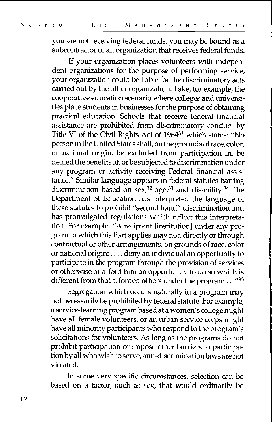you are not receiving federal funds, you may be bound as a subcontractor of an organization that receives federal funds.

If your organization places volunteers with independent organizations for the purpose of performing service, your organization could be liable for the discriminatory acts carried out by the other organization. Take, for example, the cooperative education scenario where colleges and universities place students in businesses for the purpose of obtaining practical education. Schools that receive federal financial assistance are prohibited from discriminatory conduct by Title VI of the Civil Rights Act of 196431 which states: "No person in the United States shall, on the groundsofrace, color, or national origin, be excluded from participation in, be denied the benefits of, or be subjected to discrimination under any program or activity receiving Federal financial assistance." Similar language appears in federal statutes barring discrimination based on sex,<sup>32</sup> age,<sup>33</sup> and disability.<sup>34</sup> The Department of Education has interpreted the language of these statutes to prohibit "second hand" discrimination and has promulgated regulations which reflect this interpretation. For example, "A recipient [institution] under any program to which this Part applies may not, directly or through contractual or other arrangements, on grounds of race, color or national origin: .... deny an individual an opportunity to participate in the program through the provision of services or otherwise or afford him an opportunity to do so which is different from that afforded others under the program ..."35

Segregation which occurs naturally in a program may not necessarily be prohibited by federal statute. For example, a service-learning program based at a women's college might have all female volunteers, or an urban service corps might have all minority participants who respond to the program's solicitations for volunteers. As long as the programs do not prohibit participation or impose other barriers to participation by all who wish to serve, anti-discrimination laws are not violated.

In some very specific circumstances, selection can be based on a factor, such as sex, that would ordinarily be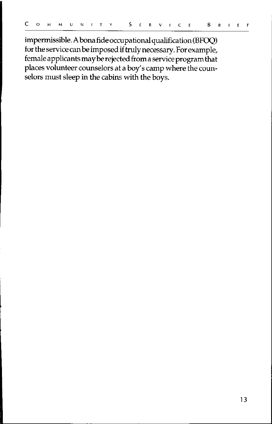impermissible. A bona fide occupational qualification (BFOQ) for the service can be imposed if truly necessary. For example, female applicants may be rejected from a service program that places volunteer counselors at a boy's camp where the counselors must sleep in the cabins with the boys.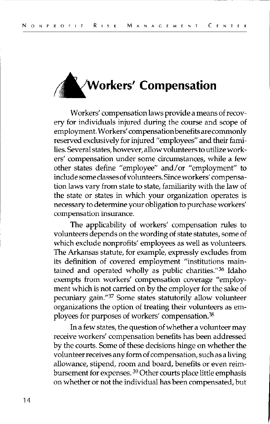

Workers' compensation laws provide a means of recovery for individuals injured during the course and scope of employment. Workers' compensation benefits are commonly reserved exclusively for injured "employees" and their families. Several states, however, allow volunteers to utilize workers' compensation under some circumstances, while a few other states define "employee" and/or "employment" to include some classes of volunteers. Since workers' compensation laws vary from state to state, familiarity with the law of the state or states in which your organization operates is necessary to determine your obligation to purchase workers' **compensation insurance.** 

The applicability of workers' compensation rules to volunteers depends on the wording of state statutes, some of which exclude nonprofits' employees as well as volunteers. The Arkansas statute, for example, expressly excludes from its definition of covered employment "institutions maintained and operated wholly as public charities."<sup>36</sup> Idaho exempts from workers' compensation coverage "employment which is not carried on by the employer for the sake of pecuniary gain."<sup>37</sup> Some states statutorily allow volunteer organizations the option of treating their volunteers as employees for purposes of workers' compensation. <sup>38</sup>

In a few states, the question of whether a volunteer may receive workers' compensation benefits has been addressed by the courts. Some of these decisions hinge on whether the volunteer receives any form of compensation, such as a living allowance, stipend, room and board, benefits or even reimbursement for expenses. 39 Other courts place little emphasis on whether or not the individual has been compensated, but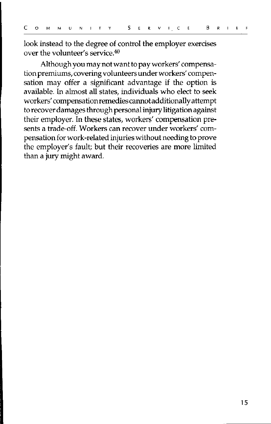look instead to the degree of control the employer exercises over the volunteer's service.40

Although you may not want to pay workers' compensation premiums, covering volunteers under workers' compensation may offer a significant advantage if the option is available. In almost all states, individuals who elect to seek workers' compensationremediescannotadditionallyattempt to recover damages through personal injury litigation against their employer. In these states, workers' compensation presents a trade-off. Workers can recover under workers' compensation for work-related injuries without needing to prove the employer's fault; but their recoveries are more limited than a jury might award.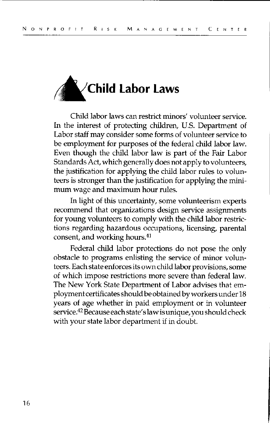

Child labor laws can restrict minors' volunteer service. In the interest of protecting children, U.S. Department of Labor staff may consider some forms of volunteer service to be employment for purposes of the federal child labor law. Even though the child labor law is part of the Fair Labor Standards Act, which generally does not apply to volunteers, the justification for applying the child labor rules to volunteers is stronger than the justification for applying the minimum wage and maximum hour rules.

In light of this uncertainty, some volunteerism experts recommend that organizations design service assignments for young volunteers to comply with the child labor restrictions regarding hazardous occupations, licensing, parental consent, and working hours. <sup>41</sup>

Federal child labor protections do not pose the only obstacle to programs enlisting the service of minor volunteers. Each state enforces its own child labor provisions, some of which impose restrictions more severe than federal law. The New York State Department of Labor advises that employment certificates should be obtained by workers under 18 years of age whether in paid employment or in volunteer service.42 Because each state's law is unique, you should check with your state labor department if in doubt.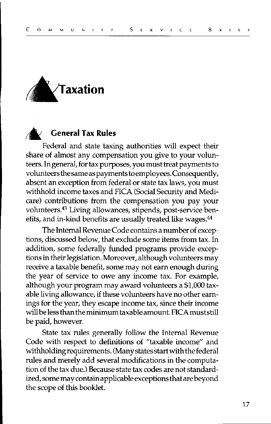

#### **General Tax Rules**

Federal and state taxing authorities will expect their share of almost any compensation you give to your volunteers. In general, for tax purposes, you must treat payments to volunteers the same as payments to employees. Consequently, absent an exception from federal or state tax laws, you must withhold income taxes and FICA (Social Security and Medicare) contributions from the compensation you pay your volunteers.<sup>43</sup> Living allowances, stipends, post-service benefits, and in-kind benefits are usually treated like wages.<sup>44</sup>

The Internal Revenue Code contains a number of exceptions, discussed below, that exclude some items from tax. In addition, some federally funded programs provide exceptions in their legislation. Moreover, although volunteers may receive a taxable benefit, some may not earn enough during the year of service to owe any income tax. For example, although your program may award volunteers a \$1,000 taxable living allowance, if these volunteers have no other earnings for the year, they escape income tax, since their income will be less than the minimum taxable amount. FICAmuststill be paid, however.

State tax rules generally follow the Internal Revenue Code with respect to definitions of "taxable income" and withholding requirements. (Many states start with the federal rules and merely add several modifications in the computation of the tax due.) Because state tax codes are not standardized, some may contain applicable exceptions that are beyond the scope of this booklet.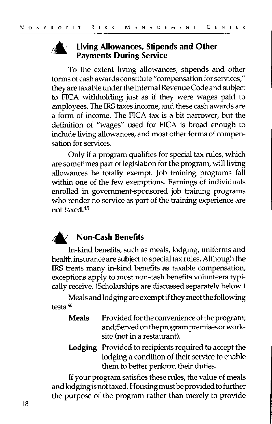

#### **Living Allowances, Stipends and Other Payments During Service**

To the extent living allowances, stipends and other forms of cash awards constitute "compensation for services," they are taxable under the Internal Revenue Code and subject to FICA withholding just as if they were wages paid to employees. The IRS taxes income, and these cash awards are a form of income. The FICA tax is a bit narrower, but the definition of "wages" used for FICA is broad enough to include living allowances, and most other forms of compensation for services.

Only if a program qualifies for special tax rules, which are sometimes part of legislation for the program, will living allowances be totally exempt. Job training programs fall within one of the few exemptions. Earnings of individuals enrolled in government-sponsored job training programs who render no service as part of the training experience are not taxed. 45



#### *t6'* **Non-Cash Benefits**

In-kind benefits, such as meals, lodging, uniforms and health insurance are subject to special tax rules. Although the IRS treats many in-kind benefits as taxable compensation, exceptions apply to most non-cash benefits volunteers typically receive. (Scholarships are discussed separately below.)

Meals and lodging are exempt if they meet the following tests.<sup>46</sup>

- **Meals** Provided for the convenience of the program; and;Servedontheprogrampremisesorworksite (not in a restaurant).
- **Lodging** Provided to recipients required to accept the lodging a condition of their service to enable them to better perform their duties.

If your program satisfies these rules, the value of meals and lodging is not taxed. Housing must be provided to further the purpose of the program rather than merely to provide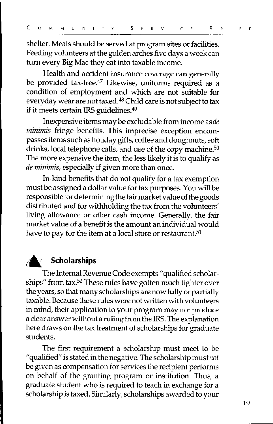shelter. Meals should be served at program sites or facilities. Feeding volunteers at the golden arches five days a week can tum every Big Mac they eat into taxable income.

Health and accident insurance coverage can generally be provided tax-free.<sup>47</sup> Likewise, uniforms required as a condition of employment and which are not suitable for everyday wear are not taxed.48 Child care is not subject to tax if it meets certain IRS guidelines. 49

Inexpensive items may be excludable from income *asde minimis* fringe benefits. This imprecise exception encompasses items such as holiday gifts, coffee and doughnuts, soft drinks, local telephone calls, and use of the copy machine.<sup>50</sup> The more expensive the item, the less likely it is to qualify as *de minimis,* especially if given more than once.

In-kind benefits that do not qualify for a tax exemption must be assigned a dollar value for tax purposes. You will be responsible for determining the fair market value of the goods distributed and for withholding the tax from the volunteers' living allowance or other cash income. Generally, the fair market value of a benefit is the amount an individual would have to pay for the item at a local store or restaurant.<sup>51</sup>



#### **r6' Scholarships**

The Internal Revenue Code exempts "qualified scholarships" from tax.52 These rules have gotten much tighter over the years, so that many scholarships are now fully or partially taxable. Because these rules were not written with volunteers in mind, their application to your program may not produce a clear answer without a ruling from the IRS. The explanation here draws on the tax treatment of scholarships for graduate students.

The first requirement a scholarship must meet to be "qualified" is stated in the negative. The scholarship must *not*  be given as compensation for services the recipient performs on behalf of the granting program or institution. Thus, a graduate student who is required to teach in exchange for a scholarship is taxed. Similarly, scholarships awarded to your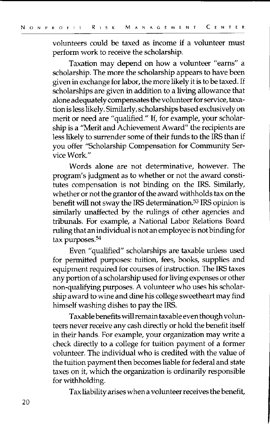volunteers could be taxed as income if a volunteer must perform work to receive the scholarship.

Taxation may depend on how a volunteer "earns" a scholarship. The more the scholarship appears to have been given in exchange for labor, the more likely it is to be taxed. If scholarships are given in addition to a living allowance that alone adequately compensates the volunteer for service, taxation is less likely. Similarly, scholarships based exclusively on merit or need are "qualified." If, for example, your scholarship is a "Merit and Achievement Award" the recipients are less likely to surrender some of their funds to the IRS than if you offer "Scholarship Compensation for Community Service Work."

Words alone are not determinative, however. The program's judgment as to whether or not the award constitutes compensation is not binding on the IRS. Similarly, whether or not the grantor of the award withholds tax on the benefit will not sway the IRS determination.<sup>53</sup> IRS opinion is similarly unaffected by the rulings of other agencies and tribunals. For example, a National Labor Relations Board ruling that an individual is not an employee is not binding for tax purposes. 54

Even "qualified" scholarships are taxable unless used for permitted purposes: tuition, fees, books, supplies and equipment required for courses of instruction. The IRS taxes any portion of a scholarship used for living expenses or other non-qualifying purposes. A volunteer who uses his scholarship award to wine and dine his college sweetheart may find himself washing dishes to pay the IRS.

Taxable benefits will remain taxable even though volunteers never receive any cash directly or hold the benefit itself in their hands. For example, your organization may write a check directly to a college for tuition payment of a former volunteer. The individual who is credited with the value of the tuition payment then becomes liable for federal and state taxes on it, which the organization is ordinarily responsible for withholding.

Tax liability arises when a volunteer receives the benefit,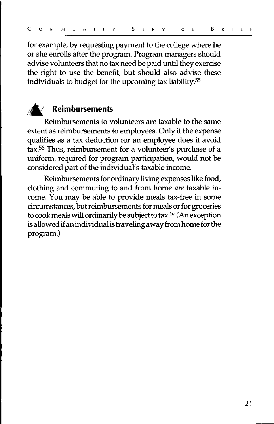for example, by requesting payment to the college where he or she enrolls after the program. Program managers should advise volunteers that no tax need be paid until they exercise the right to use the benefit, but should also advise these individuals to budget for the upcoming tax liability.<sup>55</sup>



#### **;A: Reimbursements**

Reimbursements to volunteers are taxable to the same extent as reimbursements to employees. Only if the expense qualifies as a tax deduction for an employee does it avoid tax.<sup>56</sup> Thus, reimbursement for a volunteer's purchase of a uniform, required for program participation, would not be considered part of the individual's taxable income.

Reimbursements for ordinary living expenses like food, clothing and commuting to and from home *are* taxable income. You may be able to provide meals tax-free in some circumstances, but reimbursements for meals or for groceries to cook meals will ordinarily be subject to tax.57 (An exception is allowed if an individual is traveling away from home for the program.)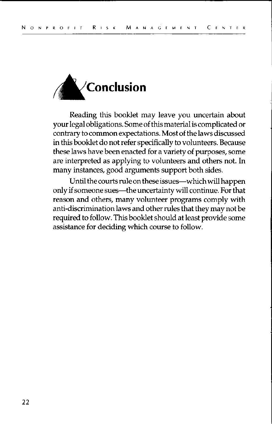

Reading this booklet may leave you uncertain about your legal obligations. Some of this material is complicated or contrary to common expectations. Most of the laws discussed in this booklet do not refer specifically to volunteers. Because these laws have been enacted for a variety of purposes, some are interpreted as applying to volunteers and others not. In many instances, good arguments support both sides.

Until the courts rule on these issues-which will happen only if someone sues-the uncertainty will continue. For that reason and others, many volunteer programs comply with anti-discrimination laws and other rules that they may not be required to follow. This booklet should at least provide some assistance for deciding which course to follow.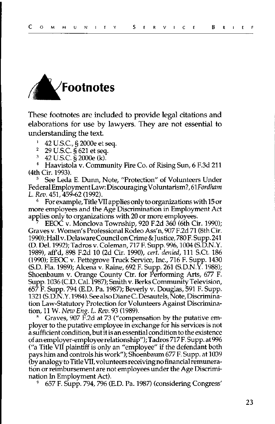

These footnotes are included to provide legal citations and elaborations for use by lawyers. They are not essential to understanding the text.<br><sup>1</sup> 42 U.S.C., § 2000e et seq.<br><sup>2</sup> 29 U.S.C. § 621 et seq.

 $^{2}$  29 U.S.C. § 621 et seq.<br><sup>3</sup> 42 U.S.C. § 2000e (k).

<sup>4</sup> Haavistola v. Community Fire Co. of Rising Sun, 6 F.3d 211 (4th Cir. 1993).

See Leda E. Dunn, Note, "Protection" of Volunteers Under Federal Employment Law: Discouraging Voluntarism?, 6 *lFordham*  L. *Rev.* 451, 459-62 (1992).

<sup>6</sup>For example, Title Vllappliesonlytoorganizations with 15or more employees and the Age Discrimination in Employment Act applies only to organizations with 20 or more employees.

EEOC v. Monclova Township, 920 F.2d 360 (6th Cir. 1990); Graves v. Women's Professional Rodeo Ass'n, 907 F.2d 71 (8th Cir. 1990); Hall v. Delaware Council on Crirne&Justice, 780 F. Supp. 241 (D. Del. 1992); Tadros v. Coleman, 717 F. Supp. 996, 1004 (S.D.N.Y. 1989), aff'd, 898 F.2d 10 (2d Cir. 1990), *cert. denied,* 111 S.Ct. 186 (1990); EEOC v. Pettegrove Truck Service, Inc., 716 F. Supp. 1430 (S.D. Fla. 1989); Alcena v. Raine, 692 F. Supp. 261 (S.D.N.Y. 1988); Shoenbaum v. Orange County Ctr. for Performing Arts, 677 F. Supp. 1036 (C.D. Cal. 1987); Smith v. Berks Community Television, 657 F. Supp. 794 (E.D. Pa. 1987); Beverly v. Douglas, 591 F. Supp. 1321 (S.D.N.Y. 1984). See also Diane C. Desautels, Note, Discrimination Law-Statutory Protection for Volunteers Against Discrimination, 11 W. *New Eng.* L. *Rev.* 93 (1989).

Graves, 907 F.2d at 73 ("compensation by the putative employer to the putative employee in exchange for his services is not a sufficient condition, but it is an essential condition to the existence of anemployer-employeerelationship"); Tadros 717F. Supp. at996 ("a Title Vll plaintiff is only an "employee" if the defendant both pays him and controls his work"); Shoenbaum 677 F. Supp. at 1039 (by analogy to Title Vll, volunteers receiving no financial remuneration or reimbursement are not employees under the Age Discrimination In Employment Act).

<sup>9</sup>657 F. Supp. 794, 796 (E.D. Pa. 1987) (considering Congress'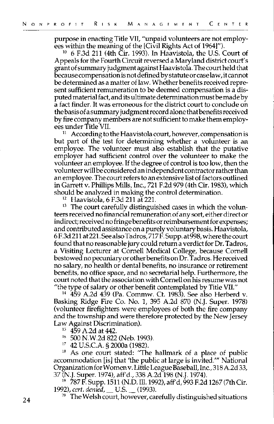purpose in enacting Title VII, "unpaid volunteers are not employ-<br>ees within the meaning of the [Civil Rights Act of 1964]").

 $^{10}$  6 F.3d 211 (4th Cir. 1993). In Haavistola, the U.S. Court of Appeals for the Fourth Circuit reversed a Maryland district court's grant of summary judgment against Haavistola. The court held that becausecompensationisnotdefinedbystatuteorcaselaw,itcannot be determined as a matter of law. Whether benefits received represent sufficient remuneration to be deemed compensation is a disputed material fact, and its ultimate determination must be made by a fact finder. It was erroneous for the district court to conclude on the basis of a summary judgment record alone that benefits received by fire company members are not sufficient to make them employees under Title VIL

According to the Haavistola court, however, compensation is but part of the test for determining whether a volunteer is an employee. The volunteer must also establish that the putative employer had sufficient control over the volunteer to make the volunteer an employee. If the degree of control is too low, then the volunteer will be considered an independent contractor rather than an employee. The court refers to an extensive list of factors outlined in Garrett v. Phillips Mills, Inc., 721 F.2d 979 (4th Cir. 1983), which

should be analyzed in making the control determination.<br><sup>12</sup> Haavistola, 6 F.3d 211 at 221.<br><sup>13</sup> The court carefully distinguished cases in which the volun**teers received no financial remuneration of any sort, either director**  indirect; received no fringe benefits or reimbursement for expenses; and contributed assistance ona purely voluntary basis. Haavistola, 6F.3d211 at221.SeealsoTadros, 717F.Supp.at998, where the court found that no reasonable jury could return a verdict for Dr. Tadros, a Visiting Lecturer at Cornell Medical College, because Cornell bestowed no pecuniary orother benefits on Dr. T adros. He received no salary, no health or dental benefits, no insurance or retirement benefits, no office space, and no secretarial help. Furthermore, the court noted that the association with Cornell on his resume was not

"the type of salary or other benefit contemplated by Title VII." 14 459 A.2d 439 (Pa. Commw. Ct. 1983). See also Herberd v. Basking Ridge Fire Co. No. 1, 395 A.2d 870 (N.J. Super. 1978) (volunteer firefighters were employees of both the fire company and the township and were therefore protected by the New Jersey

- 
- 
- 

Law Against Discrimination). 15 459 A.2d at 442. 16 500 N.W.2d 822 (Neb. 1993). 17 42 U.S.C.A. § 2000a (1982). 18 As one court stated: ''The hallmark of a place of public accommodation [is] that 'the public at large is invited."' National Organization for Women v. Little League Baseball, Inc., 318 A.2d 33,

37 (N.J. Super. 1974), aff'd., 338 A.2d 198 (N.J. 1974).<br><sup>19</sup> 787 F. Supp. 1511 (N.D. Ill. 1992), aff'd, 993 F.2d 1267 (7th Cir.<br>1992), cert. denied, \_\_U.S. \_\_ (1993).

<sup>20</sup> The Welsh court, however, carefully distinguished situations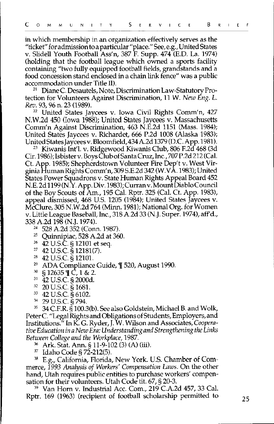in which membership in an organization effectively serves as the "ticket" for admission toa particular "place." See,e.g., United States v. Slidell Youth Football Ass'n, 387 F. Supp. 474 (E.D. La. 1974) (holding that the football league which owned a sports facility containing "two fully equipped football fields, grandstands and a food concession stand enclosed in a chain link fence" was a public accommodation under Title II).

21 Diane C. Desautels, Note, Discrimination Law-Statutory Protection for Volunteers Against Discrimination, 11 W. *New Eng. L.*  Rev. 93, 96 n. 23 (1989).

<sup>22</sup> United States Jaycees v. Iowa Civil Rights Comm'n, 427 N.W.2d 450 (Iowa 1988); United States Jaycees v. Massachusetts Comm'n Against Discrimination, 463 N.E.2d 1151 (Mass. 1984); United States Jaycees v. Richardet, 666 P.2d 1008 (Alaska 1983);

<sup>23</sup> Kiwanis Int'l. v. Ridgewood Kiwanis Club, 806 F.2d 468 (3d Cir. 1986);Isbisterv. BoysC!ubofSantaCruz,Inc., 707P.2d212 (Cal. Ct. App. 1985); Shepherdstown Volunteer Fire Dep't v. West Virginia Human Rights Comm'n, 309 S.E.2d 342 (W.V A. 1983); United States Power Squadrons v. State Human Rights Appeal Board 452 N.E.2d 1199(N.Y.App. Div.1983);Curranv.MountDiabloCouncil of the Boy Scouts of Am., 195 Cal. Rptr. 325 (Cal. Ct. App. 1983), appeal dismissed, 468 U.S. 1205 (1984); United States Jaycees v. McClure, 305 N.W.2d 764 (Minn. 1981); National Org. for Women v. Little League Baseball, Inc., 318 A.2d 33 (N.J. Super. 1974), aff'd.,

338 A.2d 198 (N.J. 1974).<br><sup>24</sup> 528 A.2d 352 (Conn. 1987).<br><sup>25</sup> Quinnipiac, 528 A.2d at 360.<br><sup>26</sup> 42 U.S.C. § 12101 et seq.<br><sup>27</sup> 42 U.S.C. § 12181(7).

- 
- 
- 
- 
- 
- 
- 
- 
- 

<sup>27</sup> 42 U.S.C. § 12181(7).<br>
<sup>27</sup> 42 U.S.C. § 12101.<br>
<sup>28</sup> ADA Compliance Guide, ¶ 520, August 1990.<br>
<sup>39</sup> § 12635 ¶ C, 1 & 2.<br>
<sup>31</sup> 42 U.S.C. § 2000d.<br>
<sup>32</sup> 20 U.S.C. § 1681.<br>
<sup>32</sup> 29 U.S.C. § 6102.<br>
<sup>34</sup> 29 U.S.C. § 794. PeterC. "Legal Rights and Obligations of Students, Employers, and Institutions." In K. G. Ryder, J. W. Wilson and Associates,Coopera*tive Education in a New Era: Understanding and Strengthening the Links Between College and the Workplace,* 1987.

36 Ark. Stat. Ann.§ 11-9-102 (3) (A) (iii).

 $37$  Idaho Code § 72-212(5).

38 E.g., California, Florida, New York. U.S. Chamber of Commerce, *1993 Analysis of Workers' Compensation Laws.* On the other hand, Utah requires public entities to purchase workers' compen-

sation for their volunteers. Utah Code tit. 67, § 20-3.<br><sup>39</sup> Van Horn v. Industrial Acc. Com., 219 C.A.2d 457, 33 Cal. Rptr. 169 (1963) (recipient of football scholarship permitted to  $25$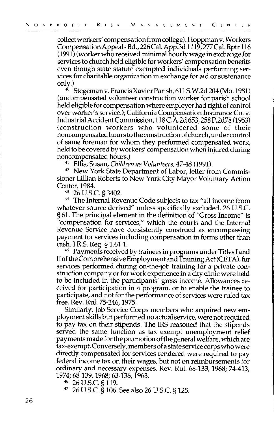collect workers' compensation from college). Hoppman v. Workers Compensation Appeals Bd.,226Cal. App.3d 1119, 277Cal. Rptr 116 (1991) (worker who received minimal hourly wage in exchange for services to church held eligible for workers' compensation benefits even though state statute exempted individuals performing services for charitable organization in exchange for aid or sustenance

 $^{40}$  Stegeman v. Francis Xavier Parish, 611 S.W.2d 204 (Mo. 1981) (uncompensated volunteer construction worker for parish school held eligible for compensation where employer had right of control over worker's service.); California Compensation Insurance Co. v. Industrial Accident Commission, 118 C.A.2d 653,258 P.2d78 (1953) (construction workers who volunteered some of their noncompensated hours to the construction of church, under control of same foreman for whom they performed compensated work, held to be covered by workers' compensation when injured during

noncompensated hours.)<br><sup>41</sup> Ellis, Susan, *Children as Volunteers,* 47-48 (1991).<br><sup>42</sup> New York State Department of Labor, letter from Commissioner Lillian Roberts to New York City Mayor Voluntary Action

 $^{43}$  26 U.S.C. § 3402.<br> $^{44}$  The Internal Revenue Code subjects to tax "all income from whatever source derived" unless specifically excluded. 26 U.S.C. § 61. The principal element in the definition of "Gross Income" is "compensation for services," which the courts and the Internal Revenue Service have consistently construed as encompassing payment for services including compensation in forms other than

cash. I.R.S. Reg.§ 1.61.1. 45 Payments received by trainees in programs under Titles I and II of the Comprehensive Employment and Training Act (CET A), for services performed during on-the-job training for a private construction company or for work experience in a city clinic were held to be included in the participants' gross income. Allowances received for participation in a program, or to enable the trainee to participate, and not for the performance of services were ruled tax free. Rev. Ru!. 75-246, 1975.

Similarly, Job Service Corps members who acquired new employment skills but performed no actual service, were not required to pay tax on their stipends. The IRS reasoned that the stipends served the same function as tax exempt unemployment relief payments made for the promotion of the general welfare, which are tax-exempt. Conversely, members of a state service corps who were directly compensated for services rendered were required to pay federal income tax on their wages, but not on reimbursements for ordinary and necessary expenses. Rev. Ru!. 68-133, 1968; 74-413, 1974; 68-139, 1968; 63-136, 1963.

 $^{46}$  26 U.S.C. § 119.<br> $^{47}$  26 U.S.C. § 106. See also 26 U.S.C. § 125.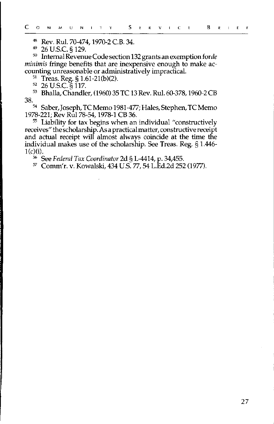48 Rev. Ru!. 70-474, 1970-2 C.B. 34.

<sup>50</sup> Internal Revenue Code section 132 grants an exemption for *de minimis* fringe benefits that are inexpensive enough to make accounting unreasonable or administratively impractical.

<sup>51</sup> Treas. Reg. § 1.61-21(b)(2).<br><sup>52</sup> 26 U.S.C. § 117.<br><sup>53</sup> Bhalla, Chandler, (1960) 35 TC 13 Rev. Rul. 60-378, 1960-2 CB<br>38.

38. 54 Saber, Joseph, TC Memo 1981-477; Hales, Stephen, TC Memo 1978-221; Rev Rul 78-54, 1978-1 CB 36.

<sup>55</sup> Liability for tax begins when an individual "constructively receives" the scholarship. As a practical matter, constructive receipt and actual receipt will almost always coincide at the time the individual makes use of the scholarship. See Treas. Reg. § 1.446-<br>1(c)(i).

l(c)(i). 56 See *Federal Tax Coordinator* 2d § L-4414, p. 34,455. 57 Comm'r. v. Kowalski, 434 U.S. 77, 54 L.Ed.2d 252 (1977).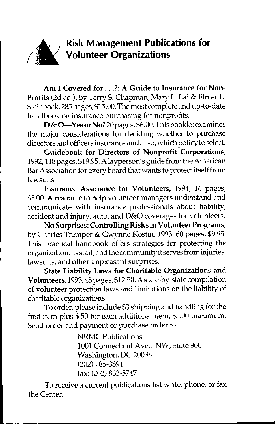

**Am I Covered for ... ?: A Guide to Insurance for Non-Profits** (2d ed.), by Terry S. Chapman, Mary L. Lai & Elmer L. Steinbock, 285 pages, \$15.00. The most complete and up-to-date handbook on insurance purchasing for nonprofits.

**D & 0-Yesor No?** 20pages,\$6.00. This booklet examines the major considerations for deciding whether to purchase directors and officers insurance and, if so, which policy to select.

**Guidebook for Directors of Nonprofit Corporations,**  1992, 118 pages, \$19.95. A layperson' s guide from the American Bar Association for every board that wants to protect itself from lawsuits.

**Insurance Assurance for Volunteers,** 1994, 16 pages, \$5.00. A resource to help volunteer managers understand and communicate with insurance professionals about liability, accident and injury, auto, and D&O coverages for volunteers.

**No Surprises: Controlling Risks in Volunteer Programs,**  by Charles Tremper & Gwynne Kostin, 1993, 60 pages, \$9.95. This practical handbook offers strategies for protecting the organization,itsstaff,and thecommunityitservesfrominjuries, lawsuits, and other unpleasant surprises.

**State Liability Laws for Charitable Organizations and Volunteers,** 1993, 48 pages, \$12.50. A state-by-state compilation of volunteer protection laws and limitations on the liability of charitable organizations.

To order, please include \$3 shipping and handling for the first item plus \$.50 for each additional item, \$5.00 maximum. Send order and payment or purchase order to:

> NRMC Publications 1001 Connecticut Ave., NW, Suite 900 Washington, DC 20036 (202) 785-3891 fax: (202) 833-5747

To receive a current publications list write, phone, or fax the Center.